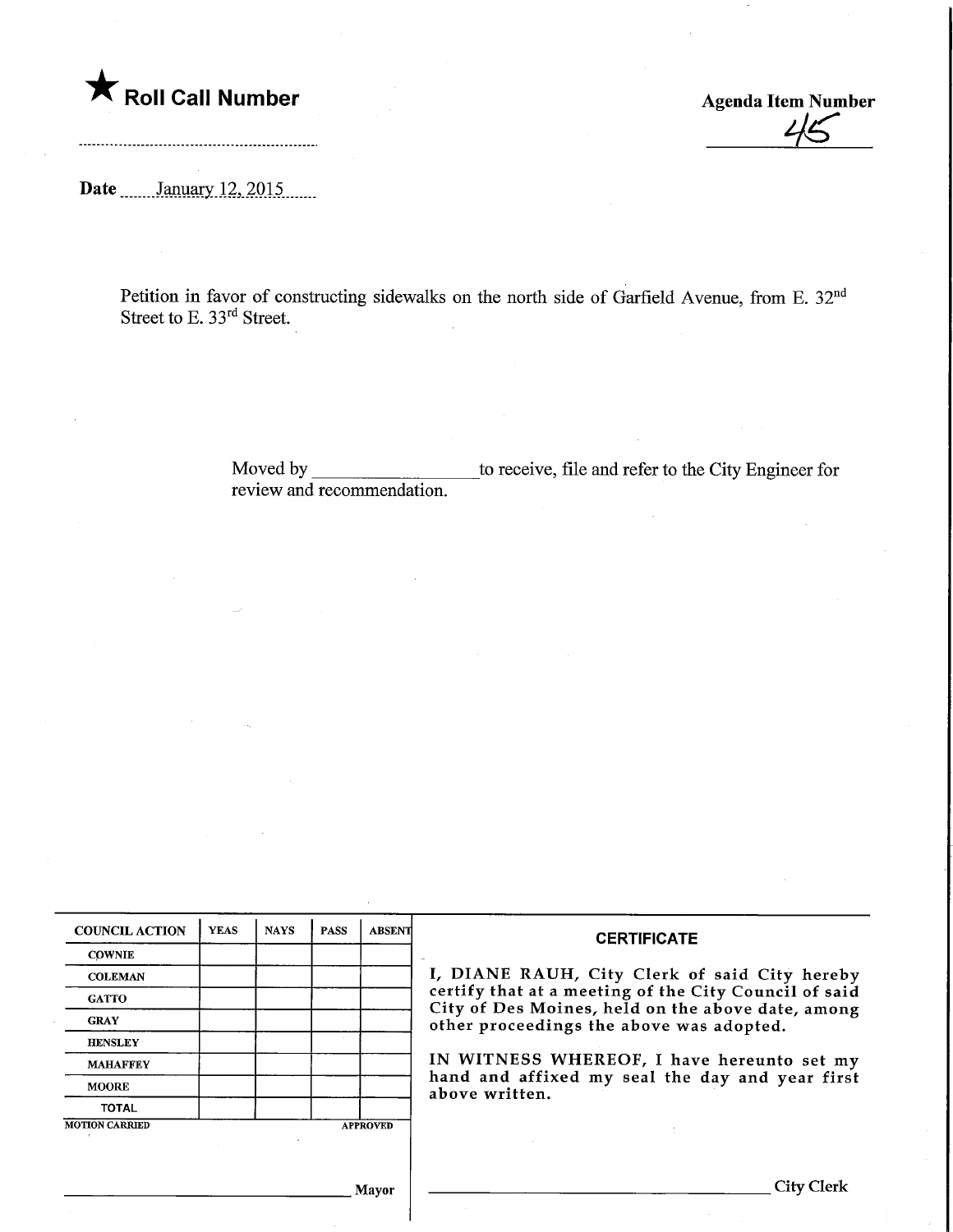

Agenda Item Number

Date .......January 12, 2015.......

............

Petition in favor of constructing sidewalks on the north side of Garfield Avenue, from E. 32nd Street to E. 33rd Street.

> Moved by review and recommendation. \_to receive, file and refer to the City Engineer for

| <b>COUNCIL ACTION</b> | <b>YEAS</b> | <b>NAYS</b> | <b>PASS</b> | <b>ABSENT</b>   | <b>CERTIFICATE</b>                                                                            |  |  |
|-----------------------|-------------|-------------|-------------|-----------------|-----------------------------------------------------------------------------------------------|--|--|
| <b>COWNIE</b>         |             |             |             |                 |                                                                                               |  |  |
| <b>COLEMAN</b>        |             |             |             |                 | I, DIANE RAUH, City Clerk of said City hereby                                                 |  |  |
| <b>GATTO</b>          |             |             |             |                 | certify that at a meeting of the City Council of said                                         |  |  |
| <b>GRAY</b>           |             |             |             |                 | City of Des Moines, held on the above date, among<br>other proceedings the above was adopted. |  |  |
| <b>HENSLEY</b>        |             |             |             |                 |                                                                                               |  |  |
| <b>MAHAFFEY</b>       |             |             |             |                 | IN WITNESS WHEREOF, I have hereunto set my                                                    |  |  |
| <b>MOORE</b>          |             |             |             |                 | hand and affixed my seal the day and year first<br>above written.                             |  |  |
| <b>TOTAL</b>          |             |             |             |                 |                                                                                               |  |  |
| <b>MOTION CARRIED</b> |             |             |             | <b>APPROVED</b> |                                                                                               |  |  |
|                       |             |             |             |                 |                                                                                               |  |  |
|                       |             |             |             |                 |                                                                                               |  |  |
|                       |             |             |             | Mayor           | City Clerk                                                                                    |  |  |

,] layor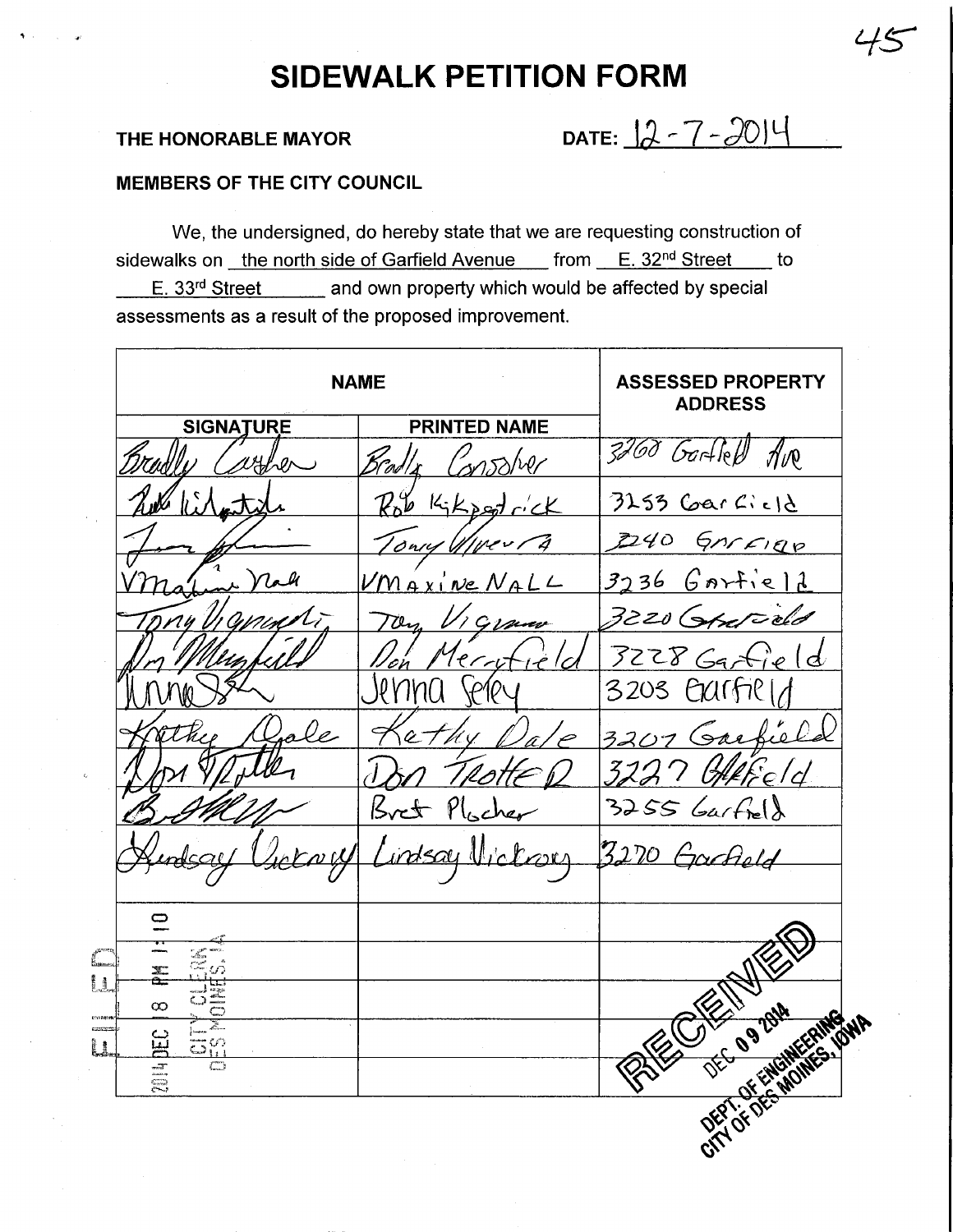## SIDEWALK PETITION FORM

đ

THE HONORABLE MAYOR DATE:  $2 - 7 - 2014$ 

 $45$ 

## MEMBERS OF THE CITY COUNCIL

We, the undersigned, do hereby state that we are requesting construction of sidewalks on the north side of Garfield Avenue from  $E. 32<sup>nd</sup> Street$  to  $E. 33<sup>rd</sup> Street$  and own property which would be affected by special assessments as a result of the proposed improvement.

| <b>NAME</b>                  | <b>ASSESSED PROPERTY</b><br><b>ADDRESS</b> |                   |
|------------------------------|--------------------------------------------|-------------------|
| <b>SIGNATURE</b>             | <b>PRINTED NAME</b>                        |                   |
| yher                         | 3251127                                    | 3260 Gartleff Ave |
|                              | $\n  k$<br>$k_1 k_2$ and $c'$ ck           | $3255$ Garcicle   |
|                              | onry Wiver,<br>Ą                           | 2240 GARFIRO      |
|                              | $VM$ $\alpha$ $x$ $\vee$ $n$ $\alpha$      | 3236 Gartield     |
|                              | pur                                        | 3220 Grated       |
|                              | Merri<br>'o'n                              | $3228$ Garrield   |
|                              |                                            | 3203 Garfiel      |
|                              |                                            | 3207 Gar          |
|                              |                                            |                   |
|                              | Plocher<br>$5$ ret                         | $3255$ Garfield   |
|                              | $t$ ary                                    | 3270 Garfield     |
|                              |                                            |                   |
| o                            |                                            |                   |
| 工                            |                                            |                   |
| ∞                            |                                            |                   |
| ဥ္                           |                                            |                   |
| $\overline{\mathbb{C}}$<br>言 |                                            | CITY OF DECAMPAGE |
|                              |                                            |                   |
|                              | $\gamma$<br>$\sim$ $\sim$                  |                   |
|                              |                                            |                   |